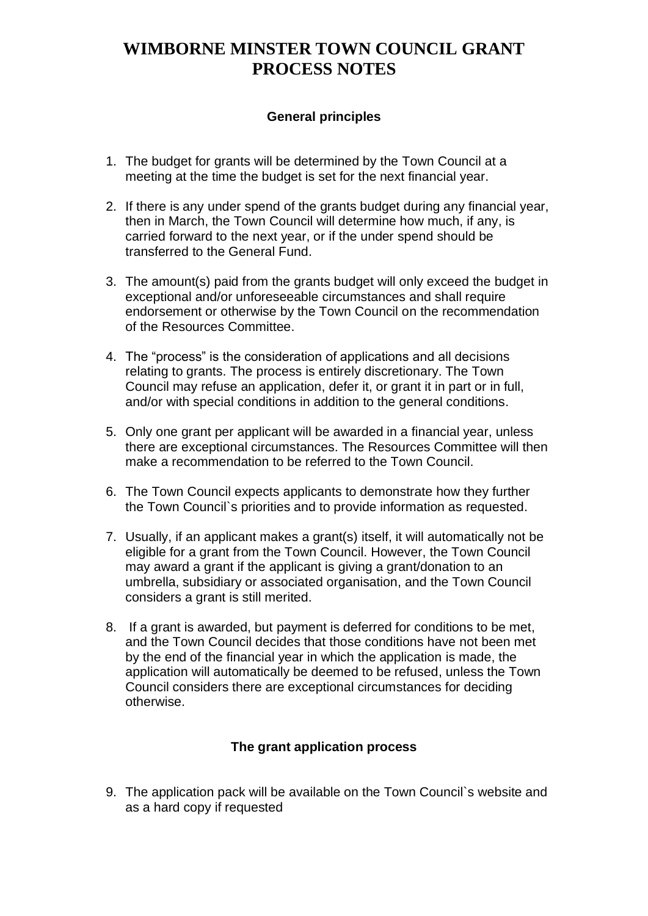# **WIMBORNE MINSTER TOWN COUNCIL GRANT PROCESS NOTES**

#### **General principles**

- 1. The budget for grants will be determined by the Town Council at a meeting at the time the budget is set for the next financial year.
- 2. If there is any under spend of the grants budget during any financial year, then in March, the Town Council will determine how much, if any, is carried forward to the next year, or if the under spend should be transferred to the General Fund.
- 3. The amount(s) paid from the grants budget will only exceed the budget in exceptional and/or unforeseeable circumstances and shall require endorsement or otherwise by the Town Council on the recommendation of the Resources Committee.
- 4. The "process" is the consideration of applications and all decisions relating to grants. The process is entirely discretionary. The Town Council may refuse an application, defer it, or grant it in part or in full, and/or with special conditions in addition to the general conditions.
- 5. Only one grant per applicant will be awarded in a financial year, unless there are exceptional circumstances. The Resources Committee will then make a recommendation to be referred to the Town Council.
- 6. The Town Council expects applicants to demonstrate how they further the Town Council`s priorities and to provide information as requested.
- 7. Usually, if an applicant makes a grant(s) itself, it will automatically not be eligible for a grant from the Town Council. However, the Town Council may award a grant if the applicant is giving a grant/donation to an umbrella, subsidiary or associated organisation, and the Town Council considers a grant is still merited.
- 8. If a grant is awarded, but payment is deferred for conditions to be met, and the Town Council decides that those conditions have not been met by the end of the financial year in which the application is made, the application will automatically be deemed to be refused, unless the Town Council considers there are exceptional circumstances for deciding otherwise.

### **The grant application process**

9. The application pack will be available on the Town Council`s website and as a hard copy if requested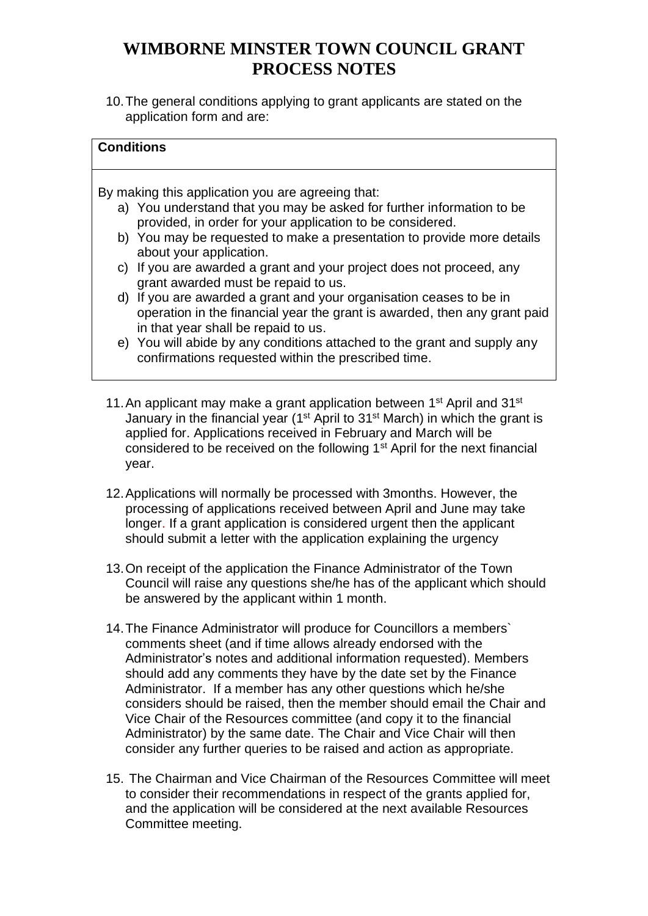# **WIMBORNE MINSTER TOWN COUNCIL GRANT PROCESS NOTES**

10.The general conditions applying to grant applicants are stated on the application form and are:

| <b>Conditions</b>                                                                                |
|--------------------------------------------------------------------------------------------------|
|                                                                                                  |
|                                                                                                  |
| By making this application you are agreeing that:                                                |
| a) You understand that you may be asked for further information to be                            |
| provided, in order for your application to be considered.                                        |
| b) You may be requested to make a presentation to provide more details                           |
| about your application.                                                                          |
| c) If you are awarded a grant and your project does not proceed, any                             |
| grant awarded must be repaid to us.                                                              |
| d) If you are awarded a grant and your organisation ceases to be in                              |
| operation in the financial year the grant is awarded, then any grant paid                        |
| in that year shall be repaid to us.                                                              |
| e) You will abide by any conditions attached to the grant and supply any                         |
| confirmations requested within the prescribed time.                                              |
|                                                                                                  |
|                                                                                                  |
| 11. An applicant may make a grant application between 1 <sup>st</sup> April and 31 <sup>st</sup> |
| January in the financial year (1st April to 31st March) in which the grant is                    |

- January in the financial year (1<sup>st</sup> April to 31<sup>st</sup> March) in which the grant is applied for. Applications received in February and March will be considered to be received on the following 1<sup>st</sup> April for the next financial year.
- 12.Applications will normally be processed with 3months. However, the processing of applications received between April and June may take longer. If a grant application is considered urgent then the applicant should submit a letter with the application explaining the urgency
- 13.On receipt of the application the Finance Administrator of the Town Council will raise any questions she/he has of the applicant which should be answered by the applicant within 1 month.
- 14.The Finance Administrator will produce for Councillors a members` comments sheet (and if time allows already endorsed with the Administrator's notes and additional information requested). Members should add any comments they have by the date set by the Finance Administrator. If a member has any other questions which he/she considers should be raised, then the member should email the Chair and Vice Chair of the Resources committee (and copy it to the financial Administrator) by the same date. The Chair and Vice Chair will then consider any further queries to be raised and action as appropriate.
- 15. The Chairman and Vice Chairman of the Resources Committee will meet to consider their recommendations in respect of the grants applied for, and the application will be considered at the next available Resources Committee meeting.